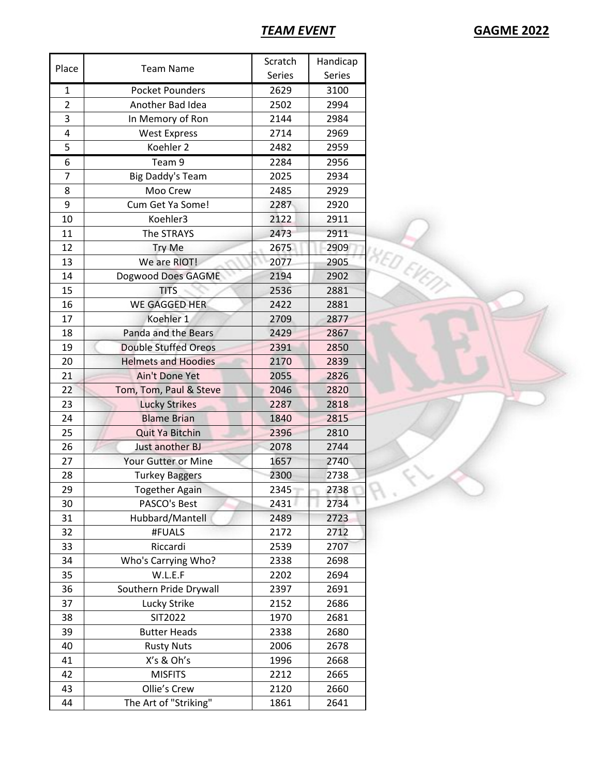## *TEAM EVENT* **GAGME 2022**

| Place          | <b>Team Name</b>            | Scratch | Handicap                 |
|----------------|-----------------------------|---------|--------------------------|
|                |                             | Series  | Series                   |
| $\mathbf{1}$   | <b>Pocket Pounders</b>      | 2629    | 3100                     |
| $\overline{2}$ | Another Bad Idea            | 2502    | 2994                     |
| 3              | In Memory of Ron            | 2144    | 2984                     |
| 4              | <b>West Express</b>         | 2714    | 2969                     |
| 5              | Koehler 2                   | 2482    | 2959                     |
| 6              | Team 9                      | 2284    | 2956                     |
| 7              | <b>Big Daddy's Team</b>     | 2025    | 2934                     |
| 8              | Moo Crew                    | 2485    | 2929                     |
| 9              | Cum Get Ya Some!            | 2287    | 2920                     |
| 10             | Koehler3                    | 2122    | 2911                     |
| 11             | The STRAYS                  | 2473    | 2911                     |
| 12             | Try Me                      | 2675    | 2909                     |
| 13             | We are RIOT!                | 2077    | 2905                     |
| 14             | Dogwood Does GAGME          | 2194    | <b>AED EVENT</b><br>2902 |
| 15             | <b>TITS</b>                 | 2536    | 2881                     |
| 16             | <b>WE GAGGED HER</b>        | 2422    | 2881                     |
| 17             | Koehler 1                   | 2709    | 2877                     |
| 18             | Panda and the Bears         | 2429    | 2867                     |
| 19             | <b>Double Stuffed Oreos</b> | 2391    | 2850                     |
| 20             | <b>Helmets and Hoodies</b>  | 2170    | 2839                     |
| 21             | Ain't Done Yet              | 2055    | 2826                     |
| 22             | Tom, Tom, Paul & Steve      | 2046    | 2820                     |
| 23             | <b>Lucky Strikes</b>        | 2287    | 2818                     |
| 24             | <b>Blame Brian</b>          | 1840    | 2815                     |
| 25             | <b>Quit Ya Bitchin</b>      | 2396    | 2810                     |
| 26             | Just another BJ             | 2078    | 2744                     |
| 27             | Your Gutter or Mine         | 1657    | 2740                     |
| 28             | <b>Turkey Baggers</b>       | 2300    | 2738                     |
| 29             | Together Again              | 2345    | 2738                     |
| 30             | PASCO's Best                | 2431    | 2734                     |
| 31             | Hubbard/Mantell             | 2489    | 2723                     |
| 32             | #FUALS                      | 2172    | 2712                     |
| 33             | Riccardi                    | 2539    | 2707                     |
| 34             | Who's Carrying Who?         | 2338    | 2698                     |
| 35             | W.L.E.F                     | 2202    | 2694                     |
| 36             | Southern Pride Drywall      | 2397    | 2691                     |
| 37             | Lucky Strike                | 2152    | 2686                     |
| 38             | SIT2022                     | 1970    | 2681                     |
| 39             | <b>Butter Heads</b>         | 2338    | 2680                     |
| 40             | <b>Rusty Nuts</b>           | 2006    | 2678                     |
| 41             | X's & Oh's                  | 1996    | 2668                     |
| 42             | <b>MISFITS</b>              | 2212    | 2665                     |
| 43             | Ollie's Crew                | 2120    | 2660                     |
| 44             | The Art of "Striking"       | 1861    | 2641                     |
|                |                             |         |                          |